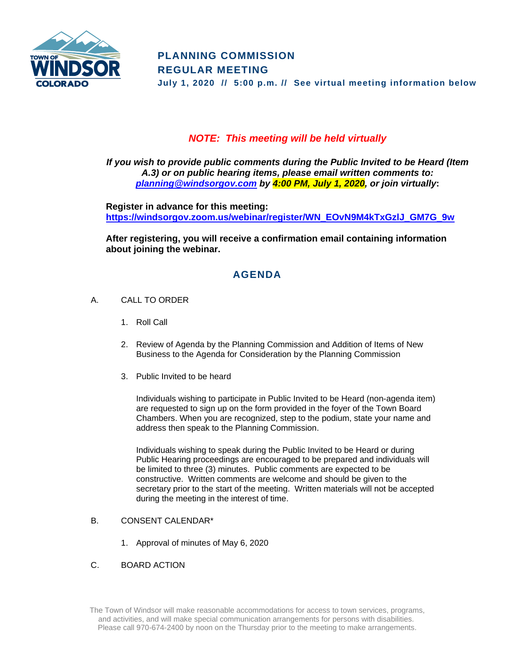

## *NOTE: This meeting will be held virtually*

*If you wish to provide public comments during the Public Invited to be Heard (Item A.3) or on public hearing items, please email written comments to: [planning@windsorgov.com](mailto:planning@windsorgov.com) by 4:00 PM, July 1, 2020, or join virtually***:**

**Register in advance for this meeting: https://windsorgov.zoom.us/webinar/register/WN\_EOvN9M4kTxGzlJ\_GM7G\_9w**

**After registering, you will receive a confirmation email containing information about joining the webinar.**

# **AGENDA**

- A. CALL TO ORDER
	- 1. Roll Call
	- 2. Review of Agenda by the Planning Commission and Addition of Items of New Business to the Agenda for Consideration by the Planning Commission
	- 3. Public Invited to be heard

Individuals wishing to participate in Public Invited to be Heard (non-agenda item) are requested to sign up on the form provided in the foyer of the Town Board Chambers. When you are recognized, step to the podium, state your name and address then speak to the Planning Commission.

Individuals wishing to speak during the Public Invited to be Heard or during Public Hearing proceedings are encouraged to be prepared and individuals will be limited to three (3) minutes. Public comments are expected to be constructive. Written comments are welcome and should be given to the secretary prior to the start of the meeting. Written materials will not be accepted during the meeting in the interest of time.

### B. CONSENT CALENDAR\*

- 1. Approval of minutes of May 6, 2020
- C. BOARD ACTION

The Town of Windsor will make reasonable accommodations for access to town services, programs, and activities, and will make special communication arrangements for persons with disabilities. Please call 970-674-2400 by noon on the Thursday prior to the meeting to make arrangements.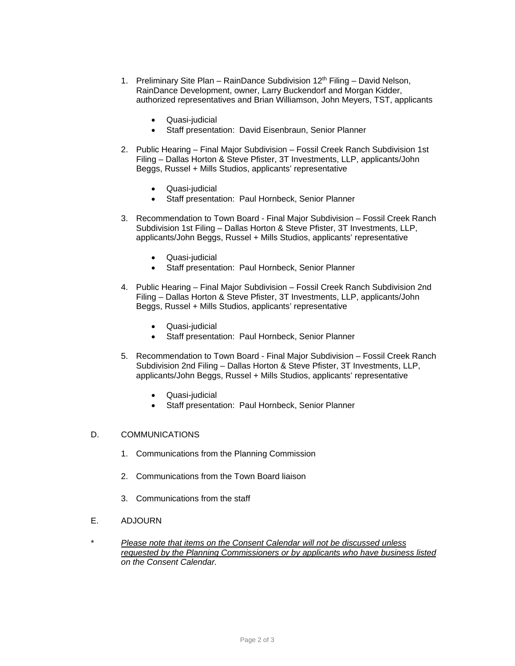- 1. Preliminary Site Plan RainDance Subdivision  $12<sup>th</sup>$  Filing David Nelson, RainDance Development, owner, Larry Buckendorf and Morgan Kidder, authorized representatives and Brian Williamson, John Meyers, TST, applicants
	- Quasi-judicial
	- Staff presentation: David Eisenbraun, Senior Planner
- 2. Public Hearing Final Major Subdivision Fossil Creek Ranch Subdivision 1st Filing – Dallas Horton & Steve Pfister, 3T Investments, LLP, applicants/John Beggs, Russel + Mills Studios, applicants' representative
	- Quasi-judicial
	- Staff presentation: Paul Hornbeck, Senior Planner
- 3. Recommendation to Town Board Final Major Subdivision Fossil Creek Ranch Subdivision 1st Filing – Dallas Horton & Steve Pfister, 3T Investments, LLP, applicants/John Beggs, Russel + Mills Studios, applicants' representative
	- Quasi-judicial
	- Staff presentation: Paul Hornbeck, Senior Planner
- 4. Public Hearing Final Major Subdivision Fossil Creek Ranch Subdivision 2nd Filing – Dallas Horton & Steve Pfister, 3T Investments, LLP, applicants/John Beggs, Russel + Mills Studios, applicants' representative
	- Quasi-judicial
	- Staff presentation: Paul Hornbeck, Senior Planner
- 5. Recommendation to Town Board Final Major Subdivision Fossil Creek Ranch Subdivision 2nd Filing – Dallas Horton & Steve Pfister, 3T Investments, LLP, applicants/John Beggs, Russel + Mills Studios, applicants' representative
	- Quasi-judicial
	- Staff presentation: Paul Hornbeck, Senior Planner

#### D. COMMUNICATIONS

- 1. Communications from the Planning Commission
- 2. Communications from the Town Board liaison
- 3. Communications from the staff
- E. ADJOURN
- \* *Please note that items on the Consent Calendar will not be discussed unless requested by the Planning Commissioners or by applicants who have business listed on the Consent Calendar.*